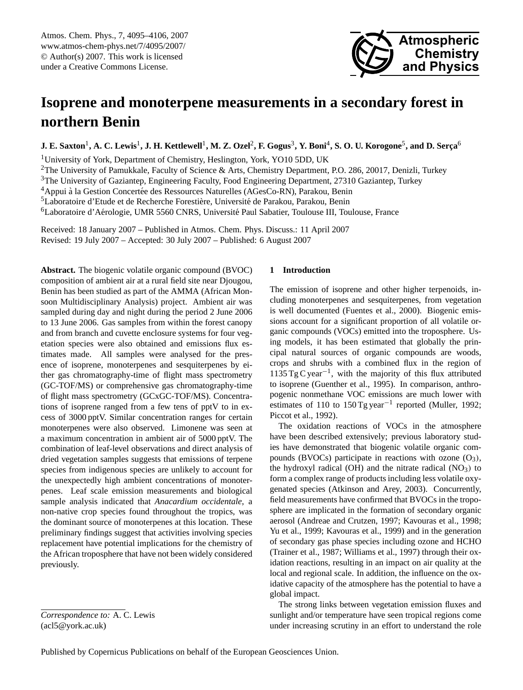

# <span id="page-0-0"></span>**Isoprene and monoterpene measurements in a secondary forest in northern Benin**

 ${\bf J.~E.~Saxton}^1,$   ${\bf A.~C.~Lewis}^1,$   ${\bf J.~H.~Kettlewell}^1,$   ${\bf M.~Z.~Ozel}^2,$   ${\bf F.~Gogus}^3,$   ${\bf Y.~Boni}^4,$   ${\bf S.~O.~U.~Korogone}^5,$  and  ${\bf D.~Serga}^6$ 

<sup>1</sup>University of York, Department of Chemistry, Heslington, York, YO10 5DD, UK

<sup>2</sup>The University of Pamukkale, Faculty of Science & Arts, Chemistry Department, P.O. 286, 20017, Denizli, Turkey

<sup>3</sup>The University of Gaziantep, Engineering Faculty, Food Engineering Department, 27310 Gaziantep, Turkey

<sup>4</sup>Appui à la Gestion Concertée des Ressources Naturelles (AGesCo-RN), Parakou, Benin

<sup>5</sup>Laboratoire d'Etude et de Recherche Forestière, Université de Parakou, Parakou, Benin

<sup>6</sup>Laboratoire d'Aérologie, UMR 5560 CNRS, Université Paul Sabatier, Toulouse III, Toulouse, France

Received: 18 January 2007 – Published in Atmos. Chem. Phys. Discuss.: 11 April 2007 Revised: 19 July 2007 – Accepted: 30 July 2007 – Published: 6 August 2007

**Abstract.** The biogenic volatile organic compound (BVOC) composition of ambient air at a rural field site near Djougou, Benin has been studied as part of the AMMA (African Monsoon Multidisciplinary Analysis) project. Ambient air was sampled during day and night during the period 2 June 2006 to 13 June 2006. Gas samples from within the forest canopy and from branch and cuvette enclosure systems for four vegetation species were also obtained and emissions flux estimates made. All samples were analysed for the presence of isoprene, monoterpenes and sesquiterpenes by either gas chromatography-time of flight mass spectrometry (GC-TOF/MS) or comprehensive gas chromatography-time of flight mass spectrometry (GCxGC-TOF/MS). Concentrations of isoprene ranged from a few tens of pptV to in excess of 3000 pptV. Similar concentration ranges for certain monoterpenes were also observed. Limonene was seen at a maximum concentration in ambient air of 5000 pptV. The combination of leaf-level observations and direct analysis of dried vegetation samples suggests that emissions of terpene species from indigenous species are unlikely to account for the unexpectedly high ambient concentrations of monoterpenes. Leaf scale emission measurements and biological sample analysis indicated that *Anacardium occidentale*, a non-native crop species found throughout the tropics, was the dominant source of monoterpenes at this location. These preliminary findings suggest that activities involving species replacement have potential implications for the chemistry of the African troposphere that have not been widely considered previously.

## *Correspondence to:* A. C. Lewis (acl5@york.ac.uk)

#### **1 Introduction**

The emission of isoprene and other higher terpenoids, including monoterpenes and sesquiterpenes, from vegetation is well documented (Fuentes et al., 2000). Biogenic emissions account for a significant proportion of all volatile organic compounds (VOCs) emitted into the troposphere. Using models, it has been estimated that globally the principal natural sources of organic compounds are woods, crops and shrubs with a combined flux in the region of 1135 Tg C year−<sup>1</sup> , with the majority of this flux attributed to isoprene (Guenther et al., 1995). In comparison, anthropogenic nonmethane VOC emissions are much lower with estimates of 110 to 150 Tg year<sup>-1</sup> reported (Muller, 1992; Piccot et al., 1992).

The oxidation reactions of VOCs in the atmosphere have been described extensively; previous laboratory studies have demonstrated that biogenic volatile organic compounds (BVOCs) participate in reactions with ozone  $(O_3)$ , the hydroxyl radical (OH) and the nitrate radical  $(NO<sub>3</sub>)$  to form a complex range of products including less volatile oxygenated species (Atkinson and Arey, 2003). Concurrently, field measurements have confirmed that BVOCs in the troposphere are implicated in the formation of secondary organic aerosol (Andreae and Crutzen, 1997; Kavouras et al., 1998; Yu et al., 1999; Kavouras et al., 1999) and in the generation of secondary gas phase species including ozone and HCHO (Trainer et al., 1987; Williams et al., 1997) through their oxidation reactions, resulting in an impact on air quality at the local and regional scale. In addition, the influence on the oxidative capacity of the atmosphere has the potential to have a global impact.

The strong links between vegetation emission fluxes and sunlight and/or temperature have seen tropical regions come under increasing scrutiny in an effort to understand the role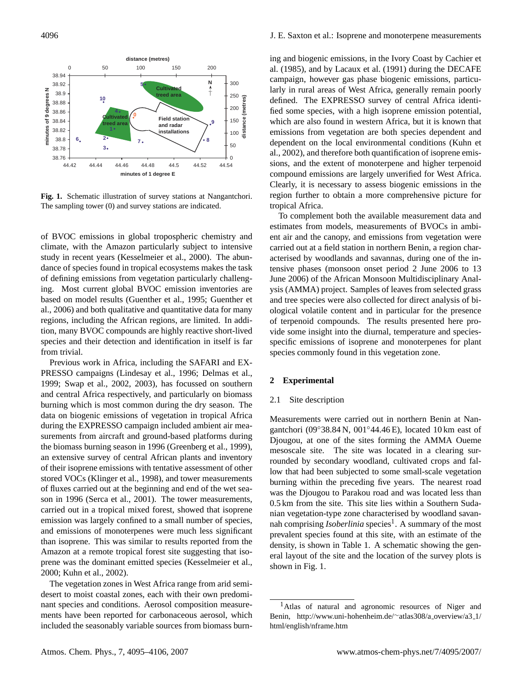

**Fig. 1.** Schematic illustration of survey stations at Nangantchori. The sampling tower (0) and survey stations are indicated.

of BVOC emissions in global tropospheric chemistry and climate, with the Amazon particularly subject to intensive study in recent years (Kesselmeier et al., 2000). The abundance of species found in tropical ecosystems makes the task of defining emissions from vegetation particularly challenging. Most current global BVOC emission inventories are based on model results (Guenther et al., 1995; Guenther et al., 2006) and both qualitative and quantitative data for many regions, including the African regions, are limited. In addition, many BVOC compounds are highly reactive short-lived species and their detection and identification in itself is far from trivial.

Previous work in Africa, including the SAFARI and EX-PRESSO campaigns (Lindesay et al., 1996; Delmas et al., 1999; Swap et al., 2002, 2003), has focussed on southern and central Africa respectively, and particularly on biomass burning which is most common during the dry season. The data on biogenic emissions of vegetation in tropical Africa during the EXPRESSO campaign included ambient air measurements from aircraft and ground-based platforms during the biomass burning season in 1996 (Greenberg et al., 1999), an extensive survey of central African plants and inventory of their isoprene emissions with tentative assessment of other stored VOCs (Klinger et al., 1998), and tower measurements of fluxes carried out at the beginning and end of the wet season in 1996 (Serca et al., 2001). The tower measurements, carried out in a tropical mixed forest, showed that isoprene emission was largely confined to a small number of species, and emissions of monoterpenes were much less significant than isoprene. This was similar to results reported from the Amazon at a remote tropical forest site suggesting that isoprene was the dominant emitted species (Kesselmeier et al., 2000; Kuhn et al., 2002).

The vegetation zones in West Africa range from arid semidesert to moist coastal zones, each with their own predominant species and conditions. Aerosol composition measurements have been reported for carbonaceous aerosol, which included the seasonably variable sources from biomass burning and biogenic emissions, in the Ivory Coast by Cachier et al. (1985), and by Lacaux et al. (1991) during the DECAFE campaign, however gas phase biogenic emissions, particularly in rural areas of West Africa, generally remain poorly defined. The EXPRESSO survey of central Africa identified some species, with a high isoprene emission potential, which are also found in western Africa, but it is known that emissions from vegetation are both species dependent and dependent on the local environmental conditions (Kuhn et al., 2002), and therefore both quantification of isoprene emissions, and the extent of monoterpene and higher terpenoid compound emissions are largely unverified for West Africa. Clearly, it is necessary to assess biogenic emissions in the region further to obtain a more comprehensive picture for tropical Africa.

To complement both the available measurement data and estimates from models, measurements of BVOCs in ambient air and the canopy, and emissions from vegetation were carried out at a field station in northern Benin, a region characterised by woodlands and savannas, during one of the intensive phases (monsoon onset period 2 June 2006 to 13 June 2006) of the African Monsoon Multidisciplinary Analysis (AMMA) project. Samples of leaves from selected grass and tree species were also collected for direct analysis of biological volatile content and in particular for the presence of terpenoid compounds. The results presented here provide some insight into the diurnal, temperature and speciesspecific emissions of isoprene and monoterpenes for plant species commonly found in this vegetation zone.

#### **2 Experimental**

#### 2.1 Site description

Measurements were carried out in northern Benin at Nangantchori (09◦38.84 N, 001◦44.46 E), located 10 km east of Djougou, at one of the sites forming the AMMA Oueme mesoscale site. The site was located in a clearing surrounded by secondary woodland, cultivated crops and fallow that had been subjected to some small-scale vegetation burning within the preceding five years. The nearest road was the Djougou to Parakou road and was located less than 0.5 km from the site. This site lies within a Southern Sudanian vegetation-type zone characterised by woodland savannah comprising *Isoberlinia* species<sup>[1](#page-1-0)</sup>. A summary of the most prevalent species found at this site, with an estimate of the density, is shown in Table 1. A schematic showing the general layout of the site and the location of the survey plots is shown in Fig. 1.

<span id="page-1-0"></span><sup>1</sup>Atlas of natural and agronomic resources of Niger and Benin, [http://www.uni-hohenheim.de/](http://www.uni-hohenheim.de/~atlas308/a_overview/a3_1/html/english/nframe.htm)∼atlas308/a overview/a3 1/ [html/english/nframe.htm](http://www.uni-hohenheim.de/~atlas308/a_overview/a3_1/html/english/nframe.htm)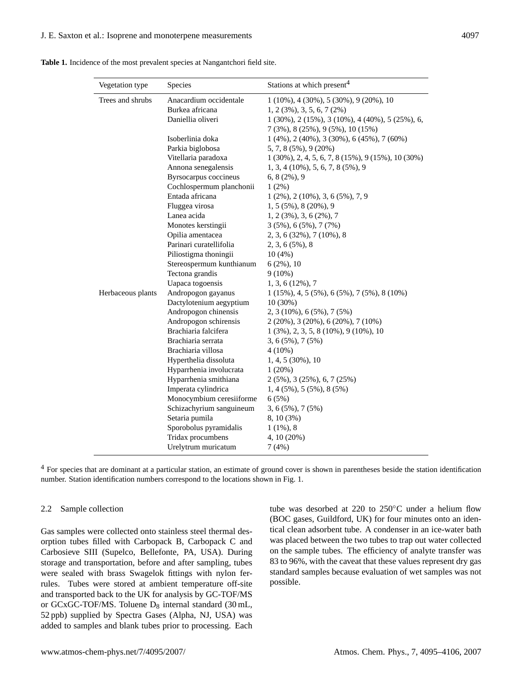| Vegetation type   | Species                  | Stations at which present <sup>4</sup>                   |
|-------------------|--------------------------|----------------------------------------------------------|
| Trees and shrubs  | Anacardium occidentale   | $1(10\%)$ , 4 (30%), 5 (30%), 9 (20%), 10                |
|                   | Burkea africana          | $1, 2$ (3%), 3, 5, 6, 7 (2%)                             |
|                   | Daniellia oliveri        | $1$ (30%), 2 (15%), 3 (10%), 4 (40%), 5 (25%), 6,        |
|                   |                          | 7 (3%), 8 (25%), 9 (5%), 10 (15%)                        |
|                   | Isoberlinia doka         | $1(4\%)$ , $2(40\%)$ , $3(30\%)$ , $6(45\%)$ , $7(60\%)$ |
|                   | Parkia biglobosa         | $5, 7, 8(5\%)$ , $9(20\%)$                               |
|                   | Vitellaria paradoxa      | $1(30\%)$ , 2, 4, 5, 6, 7, 8 (15%), 9 (15%), 10 (30%)    |
|                   | Annona senegalensis      | $1, 3, 4$ (10%), 5, 6, 7, 8 (5%), 9                      |
|                   | Byrsocarpus coccineus    | $6, 8(2\%)$ , 9                                          |
|                   | Cochlospermum planchonii | $1(2\%)$                                                 |
|                   | Entada africana          | $1(2\%)$ , $2(10\%)$ , $3, 6(5\%)$ , $7, 9$              |
|                   | Fluggea virosa           | 1, 5 (5%), 8 (20%), 9                                    |
|                   | Lanea acida              | $1, 2$ (3%), 3, 6 (2%), 7                                |
|                   | Monotes kerstingii       | $3(5\%)$ , 6 $(5\%)$ , 7 $(7\%)$                         |
|                   | Opilia amentacea         | $2, 3, 6$ (32%), 7 (10%), 8                              |
|                   | Parinari curatellifolia  | $2, 3, 6$ (5%), 8                                        |
|                   | Piliostigma thoningii    | 10(4%)                                                   |
|                   | Stereospermum kunthianum | $6(2\%)$ , 10                                            |
|                   | Tectona grandis          | $9(10\%)$                                                |
|                   | Uapaca togoensis         | $1, 3, 6$ (12%), 7                                       |
| Herbaceous plants | Andropogon gayanus       | $1(15\%), 4, 5(5\%), 6(5\%), 7(5\%), 8(10\%)$            |
|                   | Dactylotenium aegyptium  | $10(30\%)$                                               |
|                   | Andropogon chinensis     | $2, 3(10\%)$ , 6(5%), 7(5%)                              |
|                   | Andropogon schirensis    | $2(20\%)$ , $3(20\%)$ , $6(20\%)$ , $7(10\%)$            |
|                   | Brachiaria falcifera     | $1(3\%)$ , 2, 3, 5, 8 (10%), 9 (10%), 10                 |
|                   | Brachiaria serrata       | $3, 6(5\%), 7(5\%)$                                      |
|                   | Brachiaria villosa       | $4(10\%)$                                                |
|                   | Hyperthelia dissoluta    | $1, 4, 5$ (30%), 10                                      |
|                   | Hyparrhenia involucrata  | 1(20%)                                                   |
|                   | Hyparrhenia smithiana    | 2 (5%), 3 (25%), 6, 7 (25%)                              |
|                   | Imperata cylindrica      | $1, 4$ (5%), 5 (5%), 8 (5%)                              |
|                   | Monocymbium ceresiiforme | 6(5%)                                                    |
|                   | Schizachyrium sanguineum | $3, 6(5\%), 7(5\%)$                                      |
|                   | Setaria pumila           | 8, 10 (3%)                                               |
|                   | Sporobolus pyramidalis   | $1(1\%)$ , 8                                             |
|                   | Tridax procumbens        | 4, 10 (20%)                                              |
|                   | Urelytrum muricatum      | 7(4%)                                                    |

**Table 1.** Incidence of the most prevalent species at Nangantchori field site.

<sup>4</sup> For species that are dominant at a particular station, an estimate of ground cover is shown in parentheses beside the station identification number. Station identification numbers correspond to the locations shown in Fig. 1.

## 2.2 Sample collection

Gas samples were collected onto stainless steel thermal desorption tubes filled with Carbopack B, Carbopack C and Carbosieve SIII (Supelco, Bellefonte, PA, USA). During storage and transportation, before and after sampling, tubes were sealed with brass Swagelok fittings with nylon ferrules. Tubes were stored at ambient temperature off-site and transported back to the UK for analysis by GC-TOF/MS or GCxGC-TOF/MS. Toluene  $D_8$  internal standard (30 mL, 52 ppb) supplied by Spectra Gases (Alpha, NJ, USA) was added to samples and blank tubes prior to processing. Each tube was desorbed at 220 to 250◦C under a helium flow (BOC gases, Guildford, UK) for four minutes onto an identical clean adsorbent tube. A condenser in an ice-water bath was placed between the two tubes to trap out water collected on the sample tubes. The efficiency of analyte transfer was 83 to 96%, with the caveat that these values represent dry gas standard samples because evaluation of wet samples was not possible.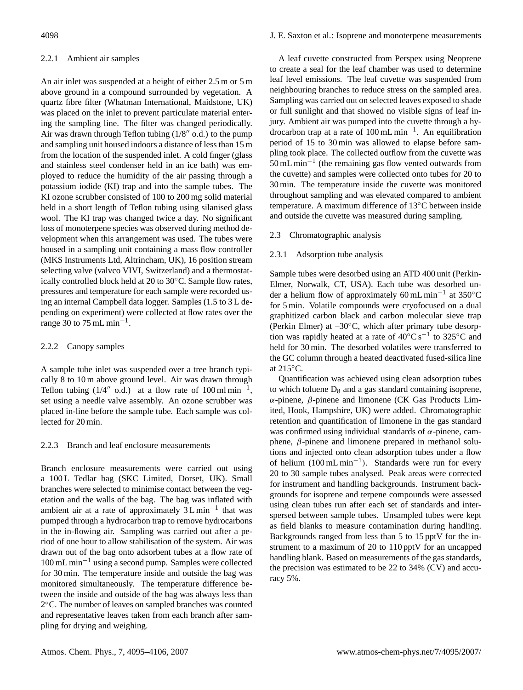## 2.2.1 Ambient air samples

An air inlet was suspended at a height of either 2.5 m or 5 m above ground in a compound surrounded by vegetation. A quartz fibre filter (Whatman International, Maidstone, UK) was placed on the inlet to prevent particulate material entering the sampling line. The filter was changed periodically. Air was drawn through Teflon tubing  $(1/8"$  o.d.) to the pump and sampling unit housed indoors a distance of less than 15 m from the location of the suspended inlet. A cold finger (glass and stainless steel condenser held in an ice bath) was employed to reduce the humidity of the air passing through a potassium iodide (KI) trap and into the sample tubes. The KI ozone scrubber consisted of 100 to 200 mg solid material held in a short length of Teflon tubing using silanised glass wool. The KI trap was changed twice a day. No significant loss of monoterpene species was observed during method development when this arrangement was used. The tubes were housed in a sampling unit containing a mass flow controller (MKS Instruments Ltd, Altrincham, UK), 16 position stream selecting valve (valvco VIVI, Switzerland) and a thermostatically controlled block held at 20 to 30◦C. Sample flow rates, pressures and temperature for each sample were recorded using an internal Campbell data logger. Samples (1.5 to 3 L depending on experiment) were collected at flow rates over the range 30 to 75 mL min<sup>-1</sup>.

## 2.2.2 Canopy samples

A sample tube inlet was suspended over a tree branch typically 8 to 10 m above ground level. Air was drawn through Teflon tubing  $(1/4'' \text{ o.d.})$  at a flow rate of  $100 \text{ ml min}^{-1}$ , set using a needle valve assembly. An ozone scrubber was placed in-line before the sample tube. Each sample was collected for 20 min.

## 2.2.3 Branch and leaf enclosure measurements

Branch enclosure measurements were carried out using a 100L Tedlar bag (SKC Limited, Dorset, UK). Small branches were selected to minimise contact between the vegetation and the walls of the bag. The bag was inflated with ambient air at a rate of approximately  $3 L \text{min}^{-1}$  that was pumped through a hydrocarbon trap to remove hydrocarbons in the in-flowing air. Sampling was carried out after a period of one hour to allow stabilisation of the system. Air was drawn out of the bag onto adsorbent tubes at a flow rate of 100 mL min−<sup>1</sup> using a second pump. Samples were collected for 30 min. The temperature inside and outside the bag was monitored simultaneously. The temperature difference between the inside and outside of the bag was always less than 2 ◦C. The number of leaves on sampled branches was counted and representative leaves taken from each branch after sampling for drying and weighing.

A leaf cuvette constructed from Perspex using Neoprene to create a seal for the leaf chamber was used to determine leaf level emissions. The leaf cuvette was suspended from neighbouring branches to reduce stress on the sampled area. Sampling was carried out on selected leaves exposed to shade or full sunlight and that showed no visible signs of leaf injury. Ambient air was pumped into the cuvette through a hydrocarbon trap at a rate of 100 mL min−<sup>1</sup> . An equilibration period of 15 to 30 min was allowed to elapse before sampling took place. The collected outflow from the cuvette was 50 mL min−<sup>1</sup> (the remaining gas flow vented outwards from the cuvette) and samples were collected onto tubes for 20 to 30 min. The temperature inside the cuvette was monitored throughout sampling and was elevated compared to ambient temperature. A maximum difference of 13◦C between inside and outside the cuvette was measured during sampling.

## 2.3 Chromatographic analysis

#### 2.3.1 Adsorption tube analysis

Sample tubes were desorbed using an ATD 400 unit (Perkin-Elmer, Norwalk, CT, USA). Each tube was desorbed under a helium flow of approximately 60 mL min−<sup>1</sup> at 350◦C for 5 min. Volatile compounds were cryofocused on a dual graphitized carbon black and carbon molecular sieve trap (Perkin Elmer) at  $-30^{\circ}$ C, which after primary tube desorption was rapidly heated at a rate of  $40^{\circ}$ C s<sup>-1</sup> to 325<sup>°</sup>C and held for 30 min. The desorbed volatiles were transferred to the GC column through a heated deactivated fused-silica line at 215◦C.

Quantification was achieved using clean adsorption tubes to which toluene  $D_8$  and a gas standard containing isoprene, α-pinene, β-pinene and limonene (CK Gas Products Limited, Hook, Hampshire, UK) were added. Chromatographic retention and quantification of limonene in the gas standard was confirmed using individual standards of  $\alpha$ -pinene, camphene, β-pinene and limonene prepared in methanol solutions and injected onto clean adsorption tubes under a flow of helium (100 mL min−<sup>1</sup> ). Standards were run for every 20 to 30 sample tubes analysed. Peak areas were corrected for instrument and handling backgrounds. Instrument backgrounds for isoprene and terpene compounds were assessed using clean tubes run after each set of standards and interspersed between sample tubes. Unsampled tubes were kept as field blanks to measure contamination during handling. Backgrounds ranged from less than 5 to 15 pptV for the instrument to a maximum of 20 to 110 pptV for an uncapped handling blank. Based on measurements of the gas standards, the precision was estimated to be 22 to 34% (CV) and accuracy 5%.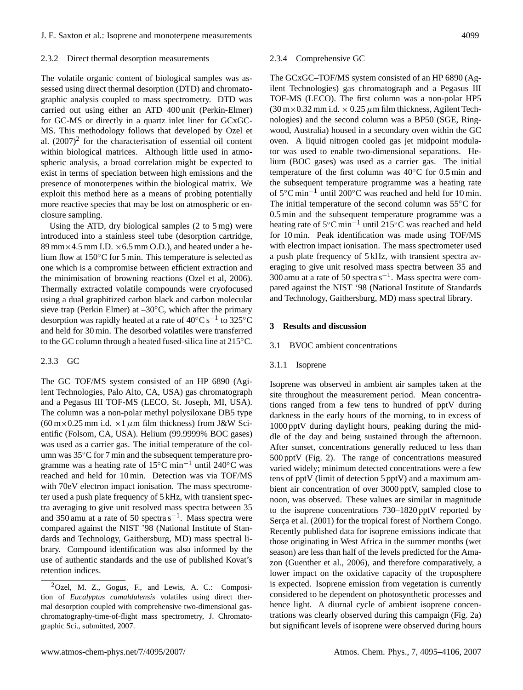#### 2.3.2 Direct thermal desorption measurements

The volatile organic content of biological samples was assessed using direct thermal desorption (DTD) and chromatographic analysis coupled to mass spectrometry. DTD was carried out using either an ATD 400 unit (Perkin-Elmer) for GC-MS or directly in a quartz inlet liner for GCxGC-MS. This methodology follows that developed by Ozel et al.  $(2007)^2$  $(2007)^2$  $(2007)^2$  for the characterisation of essential oil content within biological matrices. Although little used in atmospheric analysis, a broad correlation might be expected to exist in terms of speciation between high emissions and the presence of monoterpenes within the biological matrix. We exploit this method here as a means of probing potentially more reactive species that may be lost on atmospheric or enclosure sampling.

Using the ATD, dry biological samples (2 to 5 mg) were introduced into a stainless steel tube (desorption cartridge, 89 mm $\times$ 4.5 mm I.D.  $\times$ 6.5 mm O.D.), and heated under a helium flow at 150◦C for 5 min. This temperature is selected as one which is a compromise between efficient extraction and the minimisation of browning reactions (Ozel et al, 2006). Thermally extracted volatile compounds were cryofocused using a dual graphitized carbon black and carbon molecular sieve trap (Perkin Elmer) at  $-30^{\circ}$ C, which after the primary desorption was rapidly heated at a rate of  $40^{\circ}$ C s<sup>-1</sup> to 325°C and held for 30 min. The desorbed volatiles were transferred to the GC column through a heated fused-silica line at 215◦C.

## 2.3.3 GC

The GC–TOF/MS system consisted of an HP 6890 (Agilent Technologies, Palo Alto, CA, USA) gas chromatograph and a Pegasus III TOF-MS (LECO, St. Joseph, MI, USA). The column was a non-polar methyl polysiloxane DB5 type (60 m×0.25 mm i.d. ×1  $\mu$ m film thickness) from J&W Scientific (Folsom, CA, USA). Helium (99.9999% BOC gases) was used as a carrier gas. The initial temperature of the column was 35◦C for 7 min and the subsequent temperature programme was a heating rate of 15 $^{\circ}$ C min<sup>-1</sup> until 240 $^{\circ}$ C was reached and held for 10 min. Detection was via TOF/MS with 70eV electron impact ionisation. The mass spectrometer used a push plate frequency of 5 kHz, with transient spectra averaging to give unit resolved mass spectra between 35 and 350 amu at a rate of 50 spectra s−<sup>1</sup> . Mass spectra were compared against the NIST '98 (National Institute of Standards and Technology, Gaithersburg, MD) mass spectral library. Compound identification was also informed by the use of authentic standards and the use of published Kovat's retention indices.

## 2.3.4 Comprehensive GC

The GCxGC–TOF/MS system consisted of an HP 6890 (Agilent Technologies) gas chromatograph and a Pegasus III TOF-MS (LECO). The first column was a non-polar HP5  $(30 \text{ m} \times 0.32 \text{ mm})$  i.d.  $\times 0.25 \mu \text{m}$  film thickness, Agilent Technologies) and the second column was a BP50 (SGE, Ringwood, Australia) housed in a secondary oven within the GC oven. A liquid nitrogen cooled gas jet midpoint modulator was used to enable two-dimensional separations. Helium (BOC gases) was used as a carrier gas. The initial temperature of the first column was 40◦C for 0.5 min and the subsequent temperature programme was a heating rate of 5◦C min−<sup>1</sup> until 200◦C was reached and held for 10 min. The initial temperature of the second column was 55◦C for 0.5 min and the subsequent temperature programme was a heating rate of 5<sup>°</sup>C min<sup>-1</sup> until 215<sup>°</sup>C was reached and held for 10 min. Peak identification was made using TOF/MS with electron impact ionisation. The mass spectrometer used a push plate frequency of 5 kHz, with transient spectra averaging to give unit resolved mass spectra between 35 and 300 amu at a rate of 50 spectra s<sup>-1</sup>. Mass spectra were compared against the NIST '98 (National Institute of Standards and Technology, Gaithersburg, MD) mass spectral library.

## **3 Results and discussion**

#### 3.1 BVOC ambient concentrations

#### 3.1.1 Isoprene

Isoprene was observed in ambient air samples taken at the site throughout the measurement period. Mean concentrations ranged from a few tens to hundred of pptV during darkness in the early hours of the morning, to in excess of 1000 pptV during daylight hours, peaking during the middle of the day and being sustained through the afternoon. After sunset, concentrations generally reduced to less than 500 pptV (Fig. 2). The range of concentrations measured varied widely; minimum detected concentrations were a few tens of pptV (limit of detection 5 pptV) and a maximum ambient air concentration of over 3000 pptV, sampled close to noon, was observed. These values are similar in magnitude to the isoprene concentrations 730–1820 pptV reported by Serça et al. (2001) for the tropical forest of Northern Congo. Recently published data for isoprene emissions indicate that those originating in West Africa in the summer months (wet season) are less than half of the levels predicted for the Amazon (Guenther et al., 2006), and therefore comparatively, a lower impact on the oxidative capacity of the troposphere is expected. Isoprene emission from vegetation is currently considered to be dependent on photosynthetic processes and hence light. A diurnal cycle of ambient isoprene concentrations was clearly observed during this campaign (Fig. 2a) but significant levels of isoprene were observed during hours

<span id="page-4-0"></span> ${}^{2}$ Ozel, M. Z., Gogus, F., and Lewis, A. C.: Composition of *Eucalyptus camaldulensis* volatiles using direct thermal desorption coupled with comprehensive two-dimensional gaschromatography-time-of-flight mass spectrometry, J. Chromatographic Sci., submitted, 2007.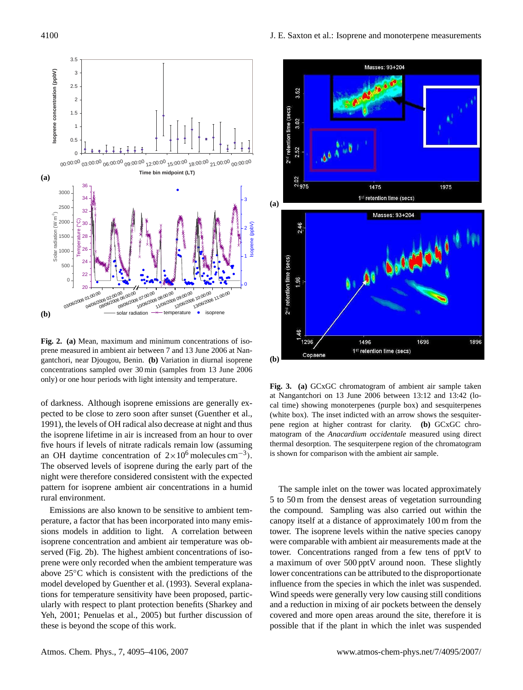

**Fig. 2. (a)** Mean, maximum and minimum concentrations of isoprene measured in ambient air between 7 and 13 June 2006 at Nangantchori, near Djougou, Benin. **(b)** Variation in diurnal isoprene concentrations sampled over 30 min (samples from 13 June 2006 only) or one hour periods with light intensity and temperature.

of darkness. Although isoprene emissions are generally expected to be close to zero soon after sunset (Guenther et al., 1991), the levels of OH radical also decrease at night and thus the isoprene lifetime in air is increased from an hour to over five hours if levels of nitrate radicals remain low (assuming an OH daytime concentration of  $2 \times 10^6$  molecules cm<sup>-3</sup>). The observed levels of isoprene during the early part of the night were therefore considered consistent with the expected pattern for isoprene ambient air concentrations in a humid rural environment.

Emissions are also known to be sensitive to ambient temperature, a factor that has been incorporated into many emissions models in addition to light. A correlation between isoprene concentration and ambient air temperature was observed (Fig. 2b). The highest ambient concentrations of isoprene were only recorded when the ambient temperature was above 25◦C which is consistent with the predictions of the model developed by Guenther et al. (1993). Several explanations for temperature sensitivity have been proposed, particularly with respect to plant protection benefits (Sharkey and Yeh, 2001; Penuelas et al., 2005) but further discussion of these is beyond the scope of this work.



**Fig. 3. (a)** GCxGC chromatogram of ambient air sample taken at Nangantchori on 13 June 2006 between 13:12 and 13:42 (local time) showing monoterpenes (purple box) and sesquiterpenes (white box). The inset indicted with an arrow shows the sesquiterpene region at higher contrast for clarity. **(b)** GCxGC chromatogram of the *Anacardium occidentale* measured using direct thermal desorption. The sesquiterpene region of the chromatogram is shown for comparison with the ambient air sample.

The sample inlet on the tower was located approximately 5 to 50 m from the densest areas of vegetation surrounding the compound. Sampling was also carried out within the canopy itself at a distance of approximately 100 m from the tower. The isoprene levels within the native species canopy were comparable with ambient air measurements made at the tower. Concentrations ranged from a few tens of pptV to a maximum of over 500 pptV around noon. These slightly lower concentrations can be attributed to the disproportionate influence from the species in which the inlet was suspended. Wind speeds were generally very low causing still conditions and a reduction in mixing of air pockets between the densely covered and more open areas around the site, therefore it is possible that if the plant in which the inlet was suspended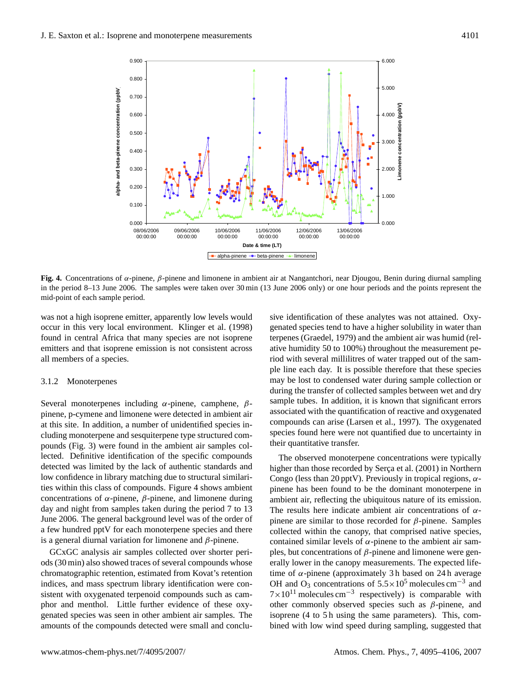

**Fig. 4.** Concentrations of α-pinene, β-pinene and limonene in ambient air at Nangantchori, near Djougou, Benin during diurnal sampling in the period 8–13 June 2006. The samples were taken over 30 min (13 June 2006 only) or one hour periods and the points represent the mid-point of each sample period.

was not a high isoprene emitter, apparently low levels would occur in this very local environment. Klinger et al. (1998) found in central Africa that many species are not isoprene emitters and that isoprene emission is not consistent across all members of a species.

#### 3.1.2 Monoterpenes

Several monoterpenes including  $\alpha$ -pinene, camphene,  $\beta$ pinene, p-cymene and limonene were detected in ambient air at this site. In addition, a number of unidentified species including monoterpene and sesquiterpene type structured compounds (Fig. 3) were found in the ambient air samples collected. Definitive identification of the specific compounds detected was limited by the lack of authentic standards and low confidence in library matching due to structural similarities within this class of compounds. Figure 4 shows ambient concentrations of α-pinene, β-pinene, and limonene during day and night from samples taken during the period 7 to 13 June 2006. The general background level was of the order of a few hundred pptV for each monoterpene species and there is a general diurnal variation for limonene and β-pinene.

GCxGC analysis air samples collected over shorter periods (30 min) also showed traces of several compounds whose chromatographic retention, estimated from Kovat's retention indices, and mass spectrum library identification were consistent with oxygenated terpenoid compounds such as camphor and menthol. Little further evidence of these oxygenated species was seen in other ambient air samples. The amounts of the compounds detected were small and conclusive identification of these analytes was not attained. Oxygenated species tend to have a higher solubility in water than terpenes (Graedel, 1979) and the ambient air was humid (relative humidity 50 to 100%) throughout the measurement period with several millilitres of water trapped out of the sample line each day. It is possible therefore that these species may be lost to condensed water during sample collection or during the transfer of collected samples between wet and dry sample tubes. In addition, it is known that significant errors associated with the quantification of reactive and oxygenated compounds can arise (Larsen et al., 1997). The oxygenated species found here were not quantified due to uncertainty in their quantitative transfer.

The observed monoterpene concentrations were typically higher than those recorded by Serça et al. (2001) in Northern Congo (less than 20 pptV). Previously in tropical regions,  $\alpha$ pinene has been found to be the dominant monoterpene in ambient air, reflecting the ubiquitous nature of its emission. The results here indicate ambient air concentrations of  $\alpha$ pinene are similar to those recorded for  $\beta$ -pinene. Samples collected within the canopy, that comprised native species, contained similar levels of  $\alpha$ -pinene to the ambient air samples, but concentrations of  $\beta$ -pinene and limonene were generally lower in the canopy measurements. The expected lifetime of  $\alpha$ -pinene (approximately 3 h based on 24 h average OH and O<sub>3</sub> concentrations of  $5.5 \times 10^5$  molecules cm<sup>-3</sup> and  $7 \times 10^{11}$  molecules cm<sup>-3</sup> respectively) is comparable with other commonly observed species such as  $\beta$ -pinene, and isoprene (4 to 5 h using the same parameters). This, combined with low wind speed during sampling, suggested that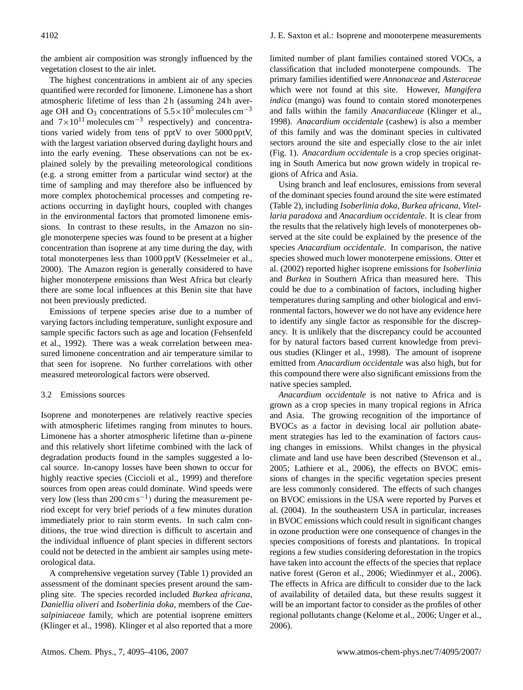the ambient air composition was strongly influenced by the vegetation closest to the air inlet.

The highest concentrations in ambient air of any species quantified were recorded for limonene. Limonene has a short atmospheric lifetime of less than 2 h (assuming 24 h average OH and O<sub>3</sub> concentrations of  $5.5 \times 10^5$  molecules cm<sup>-3</sup> and  $7 \times 10^{11}$  molecules cm<sup>-3</sup> respectively) and concentrations varied widely from tens of pptV to over 5000 pptV, with the largest variation observed during daylight hours and into the early evening. These observations can not be explained solely by the prevailing meteorological conditions (e.g. a strong emitter from a particular wind sector) at the time of sampling and may therefore also be influenced by more complex photochemical processes and competing reactions occurring in daylight hours, coupled with changes in the environmental factors that promoted limonene emissions. In contrast to these results, in the Amazon no single monoterpene species was found to be present at a higher concentration than isoprene at any time during the day, with total monoterpenes less than 1000 pptV (Kesselmeier et al., 2000). The Amazon region is generally considered to have higher monoterpene emissions than West Africa but clearly there are some local influences at this Benin site that have not been previously predicted.

Emissions of terpene species arise due to a number of varying factors including temperature, sunlight exposure and sample specific factors such as age and location (Fehsenfeld et al., 1992). There was a weak correlation between measured limonene concentration and air temperature similar to that seen for isoprene. No further correlations with other measured meteorological factors were observed.

#### 3.2 Emissions sources

Isoprene and monoterpenes are relatively reactive species with atmospheric lifetimes ranging from minutes to hours. Limonene has a shorter atmospheric lifetime than  $\alpha$ -pinene and this relatively short lifetime combined with the lack of degradation products found in the samples suggested a local source. In-canopy losses have been shown to occur for highly reactive species (Ciccioli et al., 1999) and therefore sources from open areas could dominate. Wind speeds were very low (less than 200 cm s−<sup>1</sup> ) during the measurement period except for very brief periods of a few minutes duration immediately prior to rain storm events. In such calm conditions, the true wind direction is difficult to ascertain and the individual influence of plant species in different sectors could not be detected in the ambient air samples using meteorological data.

A comprehensive vegetation survey (Table 1) provided an assessment of the dominant species present around the sampling site. The species recorded included *Burkea africana*, *Daniellia oliveri* and *Isoberlinia doka*, members of the *Caesalpiniaceae* family, which are potential isoprene emitters (Klinger et al., 1998). Klinger et al also reported that a more limited number of plant families contained stored VOCs, a classification that included monoterpene compounds. The primary families identified were *Annonaceae* and *Asteraceae* which were not found at this site. However, *Mangifera indica* (mango) was found to contain stored monoterpenes and falls within the family *Anacardiaceae* (Klinger et al., 1998). *Anacardium occidentale* (cashew) is also a member of this family and was the dominant species in cultivated sectors around the site and especially close to the air inlet (Fig. 1). *Anacardium occidentale* is a crop species originating in South America but now grown widely in tropical regions of Africa and Asia.

Using branch and leaf enclosures, emissions from several of the dominant species found around the site were estimated (Table 2), including *Isoberlinia doka*, *Burkea africana*, *Vitellaria paradoxa* and *Anacardium occidentale*. It is clear from the results that the relatively high levels of monoterpenes observed at the site could be explained by the presence of the species *Anacardium occidentale*. In comparison, the native species showed much lower monoterpene emissions. Otter et al. (2002) reported higher isoprene emissions for *Isoberlinia* and *Burkea* in Southern Africa than measured here. This could be due to a combination of factors, including higher temperatures during sampling and other biological and environmental factors, however we do not have any evidence here to identify any single factor as responsible for the discrepancy. It is unlikely that the discrepancy could be accounted for by natural factors based current knowledge from previous studies (Klinger et al., 1998). The amount of isoprene emitted from *Anacardium occidentale* was also high, but for this compound there were also significant emissions from the native species sampled.

*Anacardium occidentale* is not native to Africa and is grown as a crop species in many tropical regions in Africa and Asia. The growing recognition of the importance of BVOCs as a factor in devising local air pollution abatement strategies has led to the examination of factors causing changes in emissions. Whilst changes in the physical climate and land use have been described (Stevenson et al., 2005; Lathiere et al., 2006), the effects on BVOC emissions of changes in the specific vegetation species present are less commonly considered. The effects of such changes on BVOC emissions in the USA were reported by Purves et al. (2004). In the southeastern USA in particular, increases in BVOC emissions which could result in significant changes in ozone production were one consequence of changes in the species compositions of forests and plantations. In tropical regions a few studies considering deforestation in the tropics have taken into account the effects of the species that replace native forest (Geron et al., 2006; Wiedinmyer et al., 2006). The effects in Africa are difficult to consider due to the lack of availability of detailed data, but these results suggest it will be an important factor to consider as the profiles of other regional pollutants change (Kelome et al., 2006; Unger et al., 2006).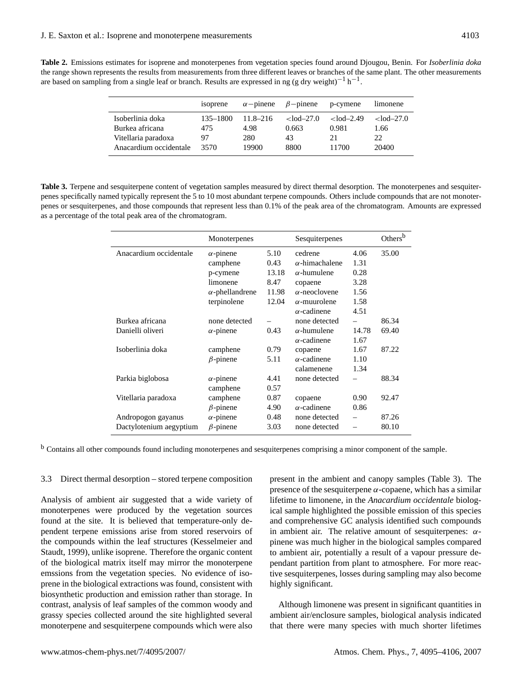**Table 2.** Emissions estimates for isoprene and monoterpenes from vegetation species found around Djougou, Benin. For *Isoberlinia doka* the range shown represents the results from measurements from three different leaves or branches of the same plant. The other measurements are based on sampling from a single leaf or branch. Results are expressed in ng (g dry weight)<sup>-1</sup> h<sup>-1</sup>.

|                        | <i>s</i> oprene | $\alpha$ -pinene | $\beta$ -pinene | p-cymene        | limonene        |
|------------------------|-----------------|------------------|-----------------|-----------------|-----------------|
| Isoberlinia doka       | $135 - 1800$    | $11.8 - 216$     | $<$ lod $-27.0$ | $<$ lod $-2.49$ | $<$ lod $-27.0$ |
| Burkea africana        | 475             | 4.98             | 0.663           | 0.981           | 1.66            |
| Vitellaria paradoxa    | 97              | 280              | 43              | 21              | 22              |
| Anacardium occidentale | 3570            | 19900            | 8800            | 11700           | 20400           |

**Table 3.** Terpene and sesquiterpene content of vegetation samples measured by direct thermal desorption. The monoterpenes and sesquiterpenes specifically named typically represent the 5 to 10 most abundant terpene compounds. Others include compounds that are not monoterpenes or sesquiterpenes, and those compounds that represent less than 0.1% of the peak area of the chromatogram. Amounts are expressed as a percentage of the total peak area of the chromatogram.

|                         | Monoterpenes           |       | Sesquiterpenes        |       | Others <sup>b</sup> |
|-------------------------|------------------------|-------|-----------------------|-------|---------------------|
| Anacardium occidentale  | $\alpha$ -pinene       | 5.10  | cedrene               | 4.06  | 35.00               |
|                         | camphene               | 0.43  | $\alpha$ -himachalene | 1.31  |                     |
|                         | p-cymene               | 13.18 | $\alpha$ -humulene    | 0.28  |                     |
|                         | limonene               | 8.47  | copaene               | 3.28  |                     |
|                         | $\alpha$ -phellandrene | 11.98 | $\alpha$ -neoclovene  | 1.56  |                     |
|                         | terpinolene            | 12.04 | $\alpha$ -muurolene   | 1.58  |                     |
|                         |                        |       | $\alpha$ -cadinene    | 4.51  |                     |
| Burkea africana         | none detected          |       | none detected         |       | 86.34               |
| Danielli oliveri        | $\alpha$ -pinene       | 0.43  | $\alpha$ -humulene    | 14.78 | 69.40               |
|                         |                        |       | $\alpha$ -cadinene    | 1.67  |                     |
| Isoberlinia doka        | camphene               | 0.79  | copaene               | 1.67  | 87.22               |
|                         | $\beta$ -pinene        | 5.11  | $\alpha$ -cadinene    | 1.10  |                     |
|                         |                        |       | calamenene            | 1.34  |                     |
| Parkia biglobosa        | $\alpha$ -pinene       | 4.41  | none detected         |       | 88.34               |
|                         | camphene               | 0.57  |                       |       |                     |
| Vitellaria paradoxa     | camphene               | 0.87  | copaene               | 0.90  | 92.47               |
|                         | $\beta$ -pinene        | 4.90  | $\alpha$ -cadinene    | 0.86  |                     |
| Andropogon gayanus      | $\alpha$ -pinene       | 0.48  | none detected         |       | 87.26               |
| Dactylotenium aegyptium | $\beta$ -pinene        | 3.03  | none detected         |       | 80.10               |

<sup>b</sup> Contains all other compounds found including monoterpenes and sesquiterpenes comprising a minor component of the sample.

## 3.3 Direct thermal desorption – stored terpene composition

Analysis of ambient air suggested that a wide variety of monoterpenes were produced by the vegetation sources found at the site. It is believed that temperature-only dependent terpene emissions arise from stored reservoirs of the compounds within the leaf structures (Kesselmeier and Staudt, 1999), unlike isoprene. Therefore the organic content of the biological matrix itself may mirror the monoterpene emssions from the vegetation species. No evidence of isoprene in the biological extractions was found, consistent with biosynthetic production and emission rather than storage. In contrast, analysis of leaf samples of the common woody and grassy species collected around the site highlighted several monoterpene and sesquiterpene compounds which were also

present in the ambient and canopy samples (Table 3). The presence of the sesquiterpene  $\alpha$ -copaene, which has a similar lifetime to limonene, in the *Anacardium occidentale* biological sample highlighted the possible emission of this species and comprehensive GC analysis identified such compounds in ambient air. The relative amount of sesquiterpenes:  $\alpha$ pinene was much higher in the biological samples compared to ambient air, potentially a result of a vapour pressure dependant partition from plant to atmosphere. For more reactive sesquiterpenes, losses during sampling may also become highly significant.

Although limonene was present in significant quantities in ambient air/enclosure samples, biological analysis indicated that there were many species with much shorter lifetimes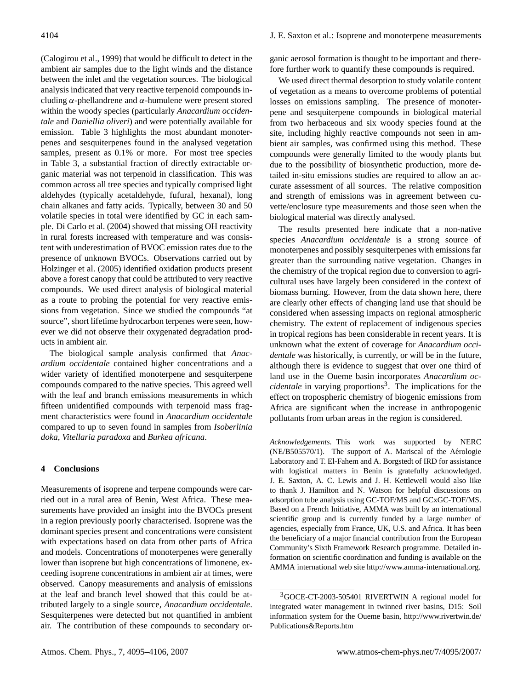(Calogirou et al., 1999) that would be difficult to detect in the ambient air samples due to the light winds and the distance between the inlet and the vegetation sources. The biological analysis indicated that very reactive terpenoid compounds including  $\alpha$ -phellandrene and  $\alpha$ -humulene were present stored within the woody species (particularly *Anacardium occidentale* and *Daniellia oliveri*) and were potentially available for emission. Table 3 highlights the most abundant monoterpenes and sesquiterpenes found in the analysed vegetation samples, present as 0.1% or more. For most tree species in Table 3, a substantial fraction of directly extractable organic material was not terpenoid in classification. This was common across all tree species and typically comprised light aldehydes (typically acetaldehyde, fufural, hexanal), long chain alkanes and fatty acids. Typically, between 30 and 50 volatile species in total were identified by GC in each sample. Di Carlo et al. (2004) showed that missing OH reactivity in rural forests increased with temperature and was consistent with underestimation of BVOC emission rates due to the presence of unknown BVOCs. Observations carried out by Holzinger et al. (2005) identified oxidation products present above a forest canopy that could be attributed to very reactive compounds. We used direct analysis of biological material as a route to probing the potential for very reactive emissions from vegetation. Since we studied the compounds "at source", short lifetime hydrocarbon terpenes were seen, however we did not observe their oxygenated degradation products in ambient air.

The biological sample analysis confirmed that *Anacardium occidentale* contained higher concentrations and a wider variety of identified monoterpene and sesquiterpene compounds compared to the native species. This agreed well with the leaf and branch emissions measurements in which fifteen unidentified compounds with terpenoid mass fragment characteristics were found in *Anacardium occidentale* compared to up to seven found in samples from *Isoberlinia doka*, *Vitellaria paradoxa* and *Burkea africana*.

## **4 Conclusions**

Measurements of isoprene and terpene compounds were carried out in a rural area of Benin, West Africa. These measurements have provided an insight into the BVOCs present in a region previously poorly characterised. Isoprene was the dominant species present and concentrations were consistent with expectations based on data from other parts of Africa and models. Concentrations of monoterpenes were generally lower than isoprene but high concentrations of limonene, exceeding isoprene concentrations in ambient air at times, were observed. Canopy measurements and analysis of emissions at the leaf and branch level showed that this could be attributed largely to a single source, *Anacardium occidentale*. Sesquiterpenes were detected but not quantified in ambient air. The contribution of these compounds to secondary organic aerosol formation is thought to be important and therefore further work to quantify these compounds is required.

We used direct thermal desorption to study volatile content of vegetation as a means to overcome problems of potential losses on emissions sampling. The presence of monoterpene and sesquiterpene compounds in biological material from two herbaceous and six woody species found at the site, including highly reactive compounds not seen in ambient air samples, was confirmed using this method. These compounds were generally limited to the woody plants but due to the possibility of biosynthetic production, more detailed in-situ emissions studies are required to allow an accurate assessment of all sources. The relative composition and strength of emissions was in agreement between cuvette/enclosure type measurements and those seen when the biological material was directly analysed.

The results presented here indicate that a non-native species *Anacardium occidentale* is a strong source of monoterpenes and possibly sesquiterpenes with emissions far greater than the surrounding native vegetation. Changes in the chemistry of the tropical region due to conversion to agricultural uses have largely been considered in the context of biomass burning. However, from the data shown here, there are clearly other effects of changing land use that should be considered when assessing impacts on regional atmospheric chemistry. The extent of replacement of indigenous species in tropical regions has been considerable in recent years. It is unknown what the extent of coverage for *Anacardium occidentale* was historically, is currently, or will be in the future, although there is evidence to suggest that over one third of land use in the Oueme basin incorporates *Anacardium oc-*cidentale in varying proportions<sup>[3](#page-9-0)</sup>. The implications for the effect on tropospheric chemistry of biogenic emissions from Africa are significant when the increase in anthropogenic pollutants from urban areas in the region is considered.

*Acknowledgements.* This work was supported by NERC (NE/B505570/1). The support of A. Mariscal of the Aérologie Laboratory and T. El-Fahem and A. Borgstedt of IRD for assistance with logistical matters in Benin is gratefully acknowledged. J. E. Saxton, A. C. Lewis and J. H. Kettlewell would also like to thank J. Hamilton and N. Watson for helpful discussions on adsorption tube analysis using GC-TOF/MS and GCxGC-TOF/MS. Based on a French Initiative, AMMA was built by an international scientific group and is currently funded by a large number of agencies, especially from France, UK, U.S. and Africa. It has been the beneficiary of a major financial contribution from the European Community's Sixth Framework Research programme. Detailed information on scientific coordination and funding is available on the AMMA international web site [http://www.amma-international.org.](http://www.amma-international.org)

<span id="page-9-0"></span><sup>3</sup>GOCE-CT-2003-505401 RIVERTWIN A regional model for integrated water management in twinned river basins, D15: Soil information system for the Oueme basin, [http://www.rivertwin.de/](http://www.rivertwin.de/Publications&Reports.htm) [Publications&Reports.htm](http://www.rivertwin.de/Publications&Reports.htm)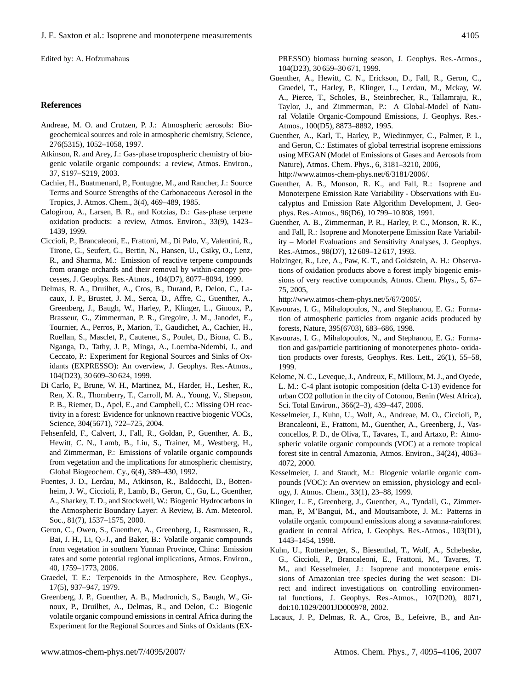#### Edited by: A. Hofzumahaus

#### **References**

- Andreae, M. O. and Crutzen, P. J.: Atmospheric aerosols: Biogeochemical sources and role in atmospheric chemistry, Science, 276(5315), 1052–1058, 1997.
- Atkinson, R. and Arey, J.: Gas-phase tropospheric chemistry of biogenic volatile organic compounds: a review, Atmos. Environ., 37, S197–S219, 2003.
- Cachier, H., Buatmenard, P., Fontugne, M., and Rancher, J.: Source Terms and Source Strengths of the Carbonaceous Aerosol in the Tropics, J. Atmos. Chem., 3(4), 469–489, 1985.
- Calogirou, A., Larsen, B. R., and Kotzias, D.: Gas-phase terpene oxidation products: a review, Atmos. Environ., 33(9), 1423– 1439, 1999.
- Ciccioli, P., Brancaleoni, E., Frattoni, M., Di Palo, V., Valentini, R., Tirone, G., Seufert, G., Bertin, N., Hansen, U., Csiky, O., Lenz, R., and Sharma, M.: Emission of reactive terpene compounds from orange orchards and their removal by within-canopy processes, J. Geophys. Res.-Atmos., 104(D7), 8077–8094, 1999.
- Delmas, R. A., Druilhet, A., Cros, B., Durand, P., Delon, C., Lacaux, J. P., Brustet, J. M., Serca, D., Affre, C., Guenther, A., Greenberg, J., Baugh, W., Harley, P., Klinger, L., Ginoux, P., Brasseur, G., Zimmerman, P. R., Gregoire, J. M., Janodet, E., Tournier, A., Perros, P., Marion, T., Gaudichet, A., Cachier, H., Ruellan, S., Masclet, P., Cautenet, S., Poulet, D., Biona, C. B., Nganga, D., Tathy, J. P., Minga, A., Loemba-Ndembi, J., and Ceccato, P.: Experiment for Regional Sources and Sinks of Oxidants (EXPRESSO): An overview, J. Geophys. Res.-Atmos., 104(D23), 30 609–30 624, 1999.
- Di Carlo, P., Brune, W. H., Martinez, M., Harder, H., Lesher, R., Ren, X. R., Thornberry, T., Carroll, M. A., Young, V., Shepson, P. B., Riemer, D., Apel, E., and Campbell, C.: Missing OH reactivity in a forest: Evidence for unknown reactive biogenic VOCs, Science, 304(5671), 722–725, 2004.
- Fehsenfeld, F., Calvert, J., Fall, R., Goldan, P., Guenther, A. B., Hewitt, C. N., Lamb, B., Liu, S., Trainer, M., Westberg, H., and Zimmerman, P.: Emissions of volatile organic compounds from vegetation and the implications for atmospheric chemistry, Global Biogeochem. Cy., 6(4), 389–430, 1992.
- Fuentes, J. D., Lerdau, M., Atkinson, R., Baldocchi, D., Bottenheim, J. W., Ciccioli, P., Lamb, B., Geron, C., Gu, L., Guenther, A., Sharkey, T. D., and Stockwell, W.: Biogenic Hydrocarbons in the Atmospheric Boundary Layer: A Review, B. Am. Meteorol. Soc., 81(7), 1537–1575, 2000.
- Geron, C., Owen, S., Guenther, A., Greenberg, J., Rasmussen, R., Bai, J. H., Li, Q.-J., and Baker, B.: Volatile organic compounds from vegetation in southern Yunnan Province, China: Emission rates and some potential regional implications, Atmos. Environ., 40, 1759–1773, 2006.
- Graedel, T. E.: Terpenoids in the Atmosphere, Rev. Geophys., 17(5), 937–947, 1979.
- Greenberg, J. P., Guenther, A. B., Madronich, S., Baugh, W., Ginoux, P., Druilhet, A., Delmas, R., and Delon, C.: Biogenic volatile organic compound emissions in central Africa during the Experiment for the Regional Sources and Sinks of Oxidants (EX-

PRESSO) biomass burning season, J. Geophys. Res.-Atmos., 104(D23), 30 659–30 671, 1999.

- Guenther, A., Hewitt, C. N., Erickson, D., Fall, R., Geron, C., Graedel, T., Harley, P., Klinger, L., Lerdau, M., Mckay, W. A., Pierce, T., Scholes, B., Steinbrecher, R., Tallamraju, R., Taylor, J., and Zimmerman, P.: A Global-Model of Natural Volatile Organic-Compound Emissions, J. Geophys. Res.- Atmos., 100(D5), 8873–8892, 1995.
- Guenther, A., Karl, T., Harley, P., Wiedinmyer, C., Palmer, P. I., and Geron, C.: Estimates of global terrestrial isoprene emissions using MEGAN (Model of Emissions of Gases and Aerosols from Nature), Atmos. Chem. Phys., 6, 3181–3210, 2006, [http://www.atmos-chem-phys.net/6/3181/2006/.](http://www.atmos-chem-phys.net/6/3181/2006/)
- Guenther, A. B., Monson, R. K., and Fall, R.: Isoprene and Monoterpene Emission Rate Variability - Observations with Eucalyptus and Emission Rate Algorithm Development, J. Geophys. Res.-Atmos., 96(D6), 10 799–10 808, 1991.
- Guenther, A. B., Zimmerman, P. R., Harley, P. C., Monson, R. K., and Fall, R.: Isoprene and Monoterpene Emission Rate Variability – Model Evaluations and Sensitivity Analyses, J. Geophys. Res.-Atmos., 98(D7), 12 609–12 617, 1993.
- Holzinger, R., Lee, A., Paw, K. T., and Goldstein, A. H.: Observations of oxidation products above a forest imply biogenic emissions of very reactive compounds, Atmos. Chem. Phys., 5, 67– 75, 2005,

[http://www.atmos-chem-phys.net/5/67/2005/.](http://www.atmos-chem-phys.net/5/67/2005/)

- Kavouras, I. G., Mihalopoulos, N., and Stephanou, E. G.: Formation of atmospheric particles from organic acids produced by forests, Nature, 395(6703), 683–686, 1998.
- Kavouras, I. G., Mihalopoulos, N., and Stephanou, E. G.: Formation and gas/particle partitioning of monoterpenes photo- oxidation products over forests, Geophys. Res. Lett., 26(1), 55–58, 1999.
- Kelome, N. C., Leveque, J., Andreux, F., Milloux, M. J., and Oyede, L. M.: C-4 plant isotopic composition (delta C-13) evidence for urban CO2 pollution in the city of Cotonou, Benin (West Africa), Sci. Total Environ., 366(2–3), 439–447, 2006.
- Kesselmeier, J., Kuhn, U., Wolf, A., Andreae, M. O., Ciccioli, P., Brancaleoni, E., Frattoni, M., Guenther, A., Greenberg, J., Vasconcellos, P. D., de Oliva, T., Tavares, T., and Artaxo, P.: Atmospheric volatile organic compounds (VOC) at a remote tropical forest site in central Amazonia, Atmos. Environ., 34(24), 4063– 4072, 2000.
- Kesselmeier, J. and Staudt, M.: Biogenic volatile organic compounds (VOC): An overview on emission, physiology and ecology, J. Atmos. Chem., 33(1), 23–88, 1999.
- Klinger, L. F., Greenberg, J., Guenther, A., Tyndall, G., Zimmerman, P., M'Bangui, M., and Moutsambote, J. M.: Patterns in volatile organic compound emissions along a savanna-rainforest gradient in central Africa, J. Geophys. Res.-Atmos., 103(D1), 1443–1454, 1998.
- Kuhn, U., Rottenberger, S., Biesenthal, T., Wolf, A., Schebeske, G., Ciccioli, P., Brancaleoni, E., Frattoni, M., Tavares, T. M., and Kesselmeier, J.: Isoprene and monoterpene emissions of Amazonian tree species during the wet season: Direct and indirect investigations on controlling environmental functions, J. Geophys. Res.-Atmos., 107(D20), 8071, doi:10.1029/2001JD000978, 2002.
- Lacaux, J. P., Delmas, R. A., Cros, B., Lefeivre, B., and An-